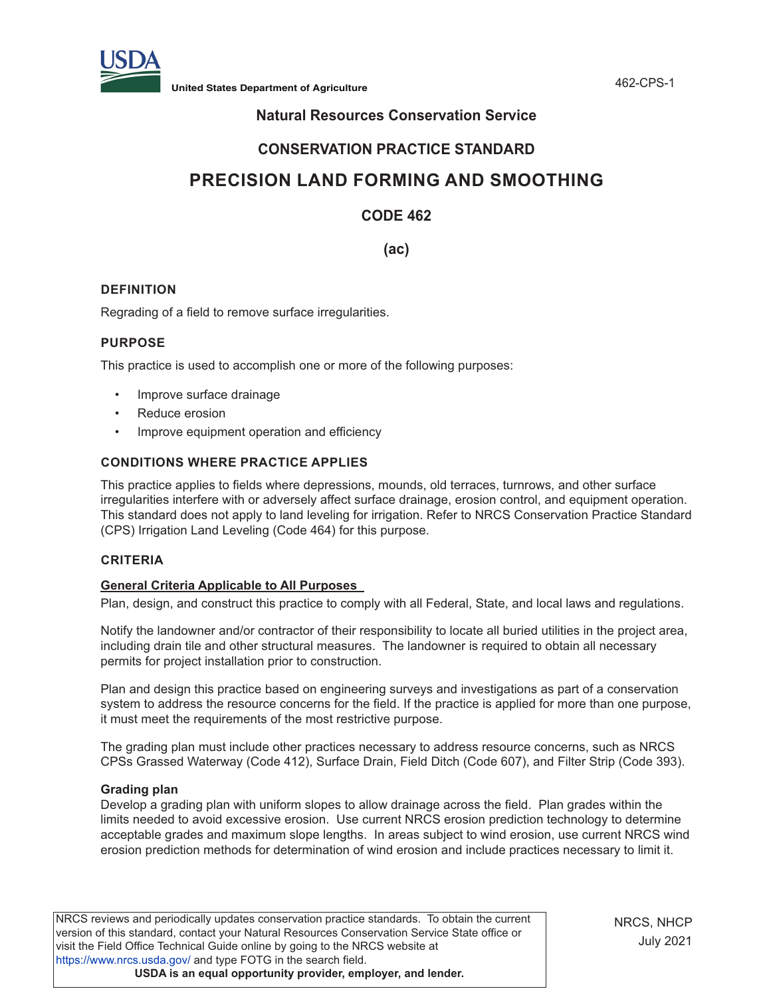

**United States Department of Agriculture** 462-CPS-1

# **Natural Resources Conservation Service**

# **CONSERVATION PRACTICE STANDARD**

# **PRECISION LAND FORMING AND SMOOTHING**

# **CODE 462**

**(ac)**

# **DEFINITION**

Regrading of a field to remove surface irregularities.

# **PURPOSE**

This practice is used to accomplish one or more of the following purposes:

- Improve surface drainage
- Reduce erosion
- Improve equipment operation and efficiency

# **CONDITIONS WHERE PRACTICE APPLIES**

This practice applies to fields where depressions, mounds, old terraces, turnrows, and other surface irregularities interfere with or adversely affect surface drainage, erosion control, and equipment operation. This standard does not apply to land leveling for irrigation. Refer to NRCS Conservation Practice Standard (CPS) Irrigation Land Leveling (Code 464) for this purpose.

# **CRITERIA**

# **General Criteria Applicable to All Purposes**

Plan, design, and construct this practice to comply with all Federal, State, and local laws and regulations.

Notify the landowner and/or contractor of their responsibility to locate all buried utilities in the project area, including drain tile and other structural measures. The landowner is required to obtain all necessary permits for project installation prior to construction.

Plan and design this practice based on engineering surveys and investigations as part of a conservation system to address the resource concerns for the field. If the practice is applied for more than one purpose, it must meet the requirements of the most restrictive purpose.

The grading plan must include other practices necessary to address resource concerns, such as NRCS CPSs Grassed Waterway (Code 412), Surface Drain, Field Ditch (Code 607), and Filter Strip (Code 393).

#### **Grading plan**

Develop a grading plan with uniform slopes to allow drainage across the field. Plan grades within the limits needed to avoid excessive erosion. Use current NRCS erosion prediction technology to determine acceptable grades and maximum slope lengths. In areas subject to wind erosion, use current NRCS wind erosion prediction methods for determination of wind erosion and include practices necessary to limit it.

NRCS reviews and periodically updates conservation practice standards. To obtain the current version of this standard, contact your Natural Resources Conservation Service State office or visit the Field Office Technical Guide online by going to the NRCS website at <https://www.nrcs.usda.gov/>and type FOTG in the search field. **USDA is an equal opportunity provider, employer, and lender.**

NRCS, NHCP July 2021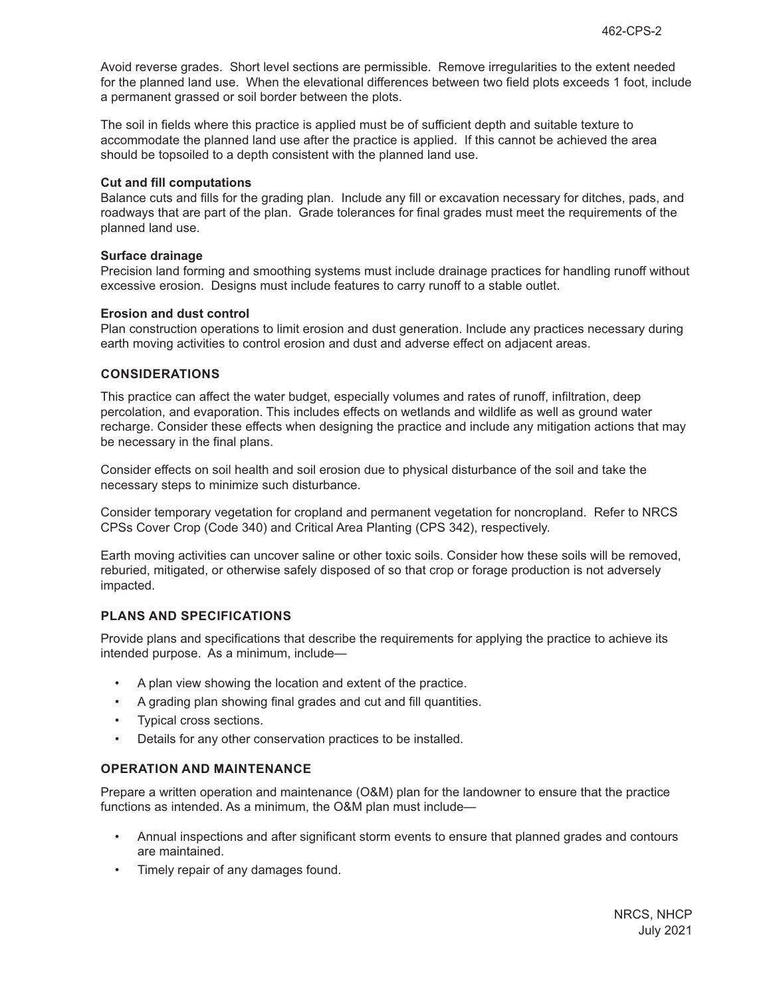Avoid reverse grades. Short level sections are permissible. Remove irregularities to the extent needed for the planned land use. When the elevational differences between two field plots exceeds 1 foot, include a permanent grassed or soil border between the plots.

The soil in fields where this practice is applied must be of sufficient depth and suitable texture to accommodate the planned land use after the practice is applied. If this cannot be achieved the area should be topsoiled to a depth consistent with the planned land use.

#### **Cut and fill computations**

Balance cuts and fills for the grading plan. Include any fill or excavation necessary for ditches, pads, and roadways that are part of the plan. Grade tolerances for final grades must meet the requirements of the planned land use.

#### **Surface drainage**

Precision land forming and smoothing systems must include drainage practices for handling runoff without excessive erosion. Designs must include features to carry runoff to a stable outlet.

#### **Erosion and dust control**

Plan construction operations to limit erosion and dust generation. Include any practices necessary during earth moving activities to control erosion and dust and adverse effect on adjacent areas.

# **CONSIDERATIONS**

This practice can affect the water budget, especially volumes and rates of runoff, infiltration, deep percolation, and evaporation. This includes effects on wetlands and wildlife as well as ground water recharge. Consider these effects when designing the practice and include any mitigation actions that may be necessary in the final plans.

Consider effects on soil health and soil erosion due to physical disturbance of the soil and take the necessary steps to minimize such disturbance.

Consider temporary vegetation for cropland and permanent vegetation for noncropland. Refer to NRCS CPSs Cover Crop (Code 340) and Critical Area Planting (CPS 342), respectively.

Earth moving activities can uncover saline or other toxic soils. Consider how these soils will be removed, reburied, mitigated, or otherwise safely disposed of so that crop or forage production is not adversely impacted.

# **PLANS AND SPECIFICATIONS**

Provide plans and specifications that describe the requirements for applying the practice to achieve its intended purpose. As a minimum, include—

- A plan view showing the location and extent of the practice.
- A grading plan showing final grades and cut and fill quantities.
- Typical cross sections.
- Details for any other conservation practices to be installed.

# **OPERATION AND MAINTENANCE**

Prepare a written operation and maintenance (O&M) plan for the landowner to ensure that the practice functions as intended. As a minimum, the O&M plan must include—

- Annual inspections and after significant storm events to ensure that planned grades and contours are maintained.
- Timely repair of any damages found.